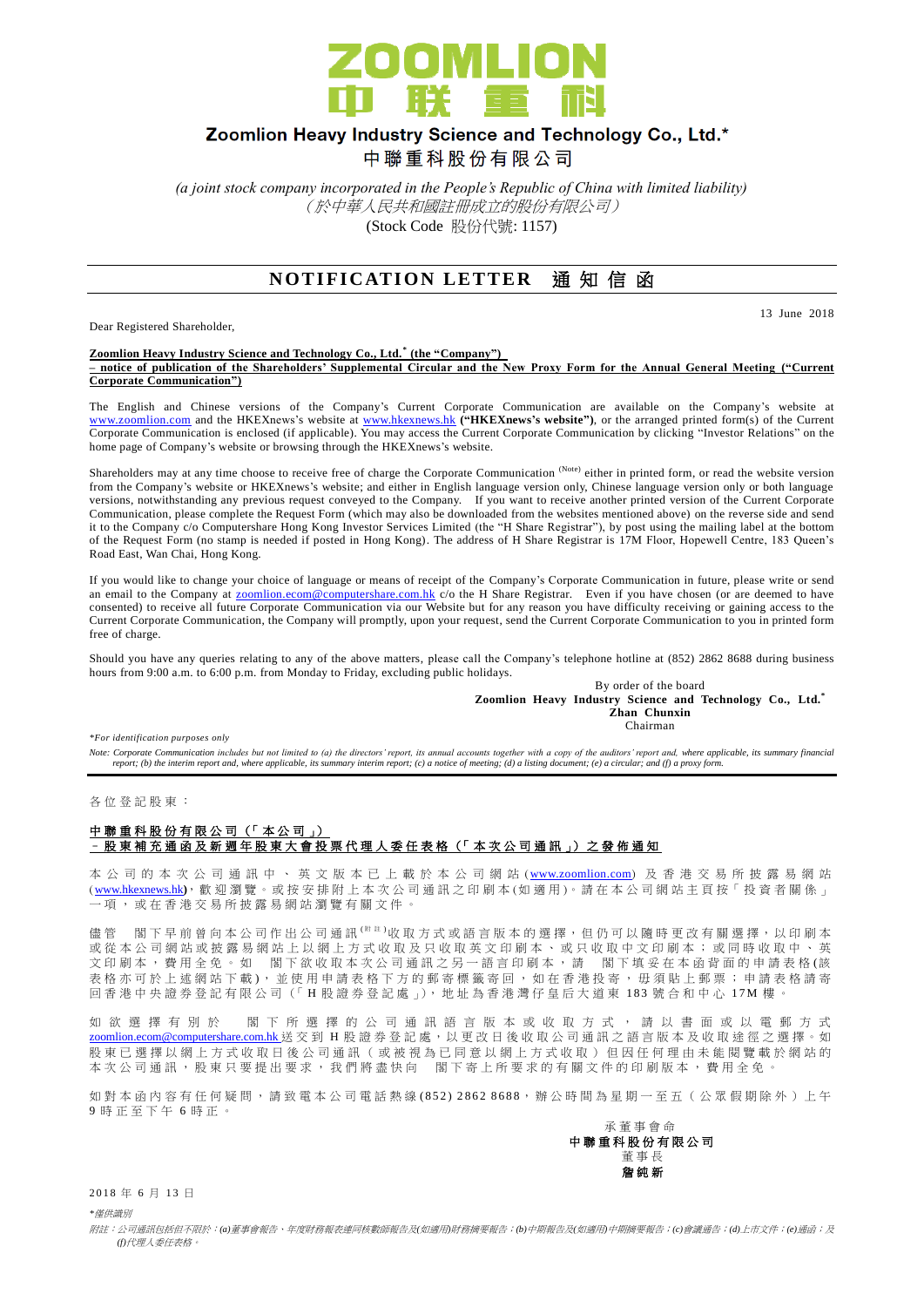

# Zoomlion Heavy Industry Science and Technology Co., Ltd.\*

中聯重科股份有限公司

*(a joint stock company incorporated in the People's Republic of China with limited liability)* (於中華人民共和國註冊成立的股份有限公司) (Stock Code 股份代號: 1157)

### **NOTIFICATION LETTER** 通知信函

Dear Registered Shareholder,

13 June 2018

#### **Zoomlion Heavy Industry Science and Technology Co., Ltd. \* (the "Company") – notice of publication of the Shareholders' Supplemental Circular and the New Proxy Form for the Annual General Meeting ("Current Corporate Communication")**

The English and Chinese versions of the Company's Current Corporate Communication are available on the Company's website at [www.zoomlion.com](http://www.zoomlion.com/) and the HKEXnews's website at [www.hkexnews.hk](http://www.hkexnews.hk/) **("HKEXnews's website")**, or the arranged printed form(s) of the Current Corporate Communication is enclosed (if applicable). You may access the Current Corporate Communication by clicking "Investor Relations" on the home page of Company's website or browsing through the HKEXnews's website.

Shareholders may at any time choose to receive free of charge the Corporate Communication (Note) either in printed form, or read the website version from the Company's website or HKEXnews's website; and either in English language version only, Chinese language version only or both language versions, notwithstanding any previous request conveyed to the Company. If you want to receive another printed version of the Current Corporate Communication, please complete the Request Form (which may also be downloaded from the websites mentioned above) on the reverse side and send it to the Company c/o Computershare Hong Kong Investor Services Limited (the "H Share Registrar"), by post using the mailing label at the bottom of the Request Form (no stamp is needed if posted in Hong Kong). The address of H Share Registrar is 17M Floor, Hopewell Centre, 183 Queen's Road East, Wan Chai, Hong Kong.

If you would like to change your choice of language or means of receipt of the Company's Corporate Communication in future, please write or send an email to the Company at **zoomlion.ecom@computershare.com.hk** c/o the H Share Registrar. Even if you have chosen (or are deemed to have consented) to receive all future Corporate Communication via our Website but for any reason you have difficulty receiving or gaining access to the Current Corporate Communication, the Company will promptly, upon your request, send the Current Corporate Communication to you in printed form free of charge.

Should you have any queries relating to any of the above matters, please call the Company's telephone hotline at (852) 2862 8688 during business hours from 9:00 a.m. to 6:00 p.m. from Monday to Friday, excluding public holidays.

By order of the board **Zoomlion Heavy Industry Science and Technology Co., Ltd.\* Zhan Chunxin** Chairman

*\*For identification purposes only* 

Note: Corporate Communication includes but not limited to (a) the directors' report, its annual accounts together with a copy of the auditors' report and, where applicable, its summary financial<br>report; (b) the interim rep

各 位 登 記 股 東 :

### 中聯重科股份有限公司 (「本公司」) – 股東補充通函及新週年股東大會投票代理人委任表格 (「 本 次 公司通訊 」) 之 發 佈 通 知

本 公 司 的 本 次 公 司 通 訊 中 、 英 文 版 本 已 上 載 於 本 公 司 網 站 ([www.zoomlion.com](http://www.zoomlion.com/)) 及 香 港 交 易 所 披 露 易 網 站 ( [www.hkexnews.hk](http://www.hkexnews.hk/)**)**, 歡 迎 瀏 覽 。或 按 安 排 附 上 本 次 公 司 通 訊 之印刷本 (如適用 )。 請 在 本 公 司 網 站 主 頁 按「 投 資 者 關 係 」 一項, 或 在 香 港 交 易 所 披 露 易 網 站 瀏 覽 有 關 文 件 。

儘管 閣下早前曾向本公司作出公司通訊<sup>(附註)</sup>收取方式或語言版本的選擇,但仍可以隨時更改有關選擇,以印刷本 或從本公司網站或披露易網站上以網上方式收取及只收取英文印刷本、或只收取中文印刷本;或同時收取中、英 文印刷本,費用全免。如 閣下欲收取本次公司通訊之另一語言印刷本,請 閣下填妥在本函背面的申請表格(該 表格亦可於上述網站下載), 並使用申請表格下方的郵寄標籤寄回, 如在香港投寄, 毋須貼上郵票; 申請表格請寄 回香港中央證券登記有限公司(「H股證券登記處」), 地址為香港灣仔皇后大道東 183號合和中心 17M 樓

如 欲 選 擇 有 別 於 閣 下 所 選 擇 的 公 司 通 訊 語 言 版 本 或 收 取 方 式 , 請 以 書 面 或 以 電 郵 方 式 [zoomlion.ecom@computershare.com.hk](mailto:zoomlion.ecom@computershare.com.hk) 送 交 到 H 股 證 券 登 記 處, 以 更 改 日 後 收 取 公 司 通 訊 之 語 言 版 本 及 收 取 途 徑 之 選 擇 。 如 股 東 已 選 擇 以 網 上 方 式 收 取 日 後 公 司 通 訊 ( 或 被 視 為 已 同 意 以 網 上 方 式 收 取 ) 但 因 任 何 理 由 未 能 閲 覽 載 於 網 站 的 本次公司通訊,股東只要提出要求,我們將盡快向 閣下寄上所要求的有關文件的印刷版本,費用全免。

如對本函內容有任何疑問,請致電本公司電話熱線(852) 2862 8688,辦公時間為星期一至五 (公眾假期除外)上午 9 時正至下午 6 時 正 。

承董事會命 中 聯 重 科 股 份 有 限 公 司 董事長 詹 純 新

2018年6月13日

*\**僅供識別

附註:公司通訊包括但不限於:*(a)*董事會報告、年度財務報表連同核數師報告及*(*如適用*)*財務摘要報告;*(b)*中期報告及*(*如適用*)*中期摘要報告;*(c)*會議通告;*(d)*上市文件;*(e)*通函;及 *(f)*代理人委任表格。